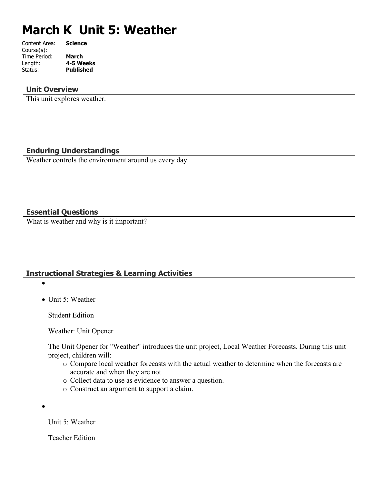# **March K Unit 5: Weather**

| Content Area: | <b>Science</b>   |
|---------------|------------------|
| Course(s):    |                  |
| Time Period:  | March            |
| Length:       | 4-5 Weeks        |
| Status:       | <b>Published</b> |
|               |                  |

#### **Unit Overview**

This unit explores weather.

## **Enduring Understandings**

Weather controls the environment around us every day.

#### **Essential Questions**

What is weather and why is it important?

## **Instructional Strategies & Learning Activities**

 $\bullet$ 

• Unit 5: Weather

Student Edition

Weather: Unit Opener

The Unit Opener for "Weather" introduces the unit project, Local Weather Forecasts. During this unit project, children will:

- o Compare local weather forecasts with the actual weather to determine when the forecasts are accurate and when they are not.
- o Collect data to use as evidence to answer a question.
- o Construct an argument to support a claim.

 $\bullet$ 

Unit 5: Weather

Teacher Edition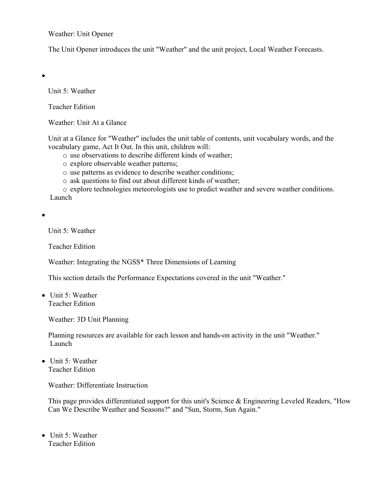Weather: Unit Opener

The Unit Opener introduces the unit "Weather" and the unit project, Local Weather Forecasts.

 $\bullet$ 

Unit 5: Weather

Teacher Edition

Weather: Unit At a Glance

Unit at a Glance for "Weather" includes the unit table of contents, unit vocabulary words, and the vocabulary game, Act It Out. In this unit, children will:

- o use observations to describe different kinds of weather;
- o explore observable weather patterns;
- o use patterns as evidence to describe weather conditions;
- o ask questions to find out about different kinds of weather;

o explore technologies meteorologists use to predict weather and severe weather conditions. Launch

 $\bullet$ 

Unit 5: Weather

Teacher Edition

Weather: Integrating the NGSS\* Three Dimensions of Learning

This section details the Performance Expectations covered in the unit "Weather."

• Unit 5: Weather Teacher Edition

Weather: 3D Unit Planning

Planning resources are available for each lesson and hands-on activity in the unit "Weather." Launch

 $\bullet$  Unit 5: Weather Teacher Edition

Weather: Differentiate Instruction

This page provides differentiated support for this unit's Science & Engineering Leveled Readers, "How Can We Describe Weather and Seasons?" and "Sun, Storm, Sun Again."

• Unit 5: Weather Teacher Edition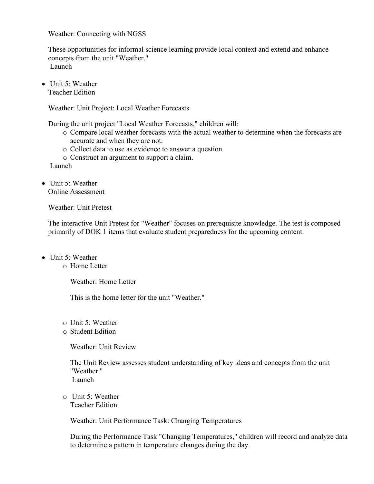Weather: Connecting with NGSS

These opportunities for informal science learning provide local context and extend and enhance concepts from the unit "Weather." Launch

• Unit 5: Weather Teacher Edition

Weather: Unit Project: Local Weather Forecasts

During the unit project "Local Weather Forecasts," children will:

- o Compare local weather forecasts with the actual weather to determine when the forecasts are accurate and when they are not.
- o Collect data to use as evidence to answer a question.
- o Construct an argument to support a claim.

Launch

 $\bullet$  Unit 5: Weather Online Assessment

Weather: Unit Pretest

The interactive Unit Pretest for "Weather" focuses on prerequisite knowledge. The test is composed primarily of DOK 1 items that evaluate student preparedness for the upcoming content.

- $\bullet$  Unit 5: Weather
	- o Home Letter

Weather: Home Letter

This is the home letter for the unit "Weather."

- o Unit 5: Weather
- o Student Edition

Weather: Unit Review

The Unit Review assesses student understanding of key ideas and concepts from the unit "Weather" Launch

o Unit 5: Weather Teacher Edition

Weather: Unit Performance Task: Changing Temperatures

During the Performance Task "Changing Temperatures," children will record and analyze data to determine a pattern in temperature changes during the day.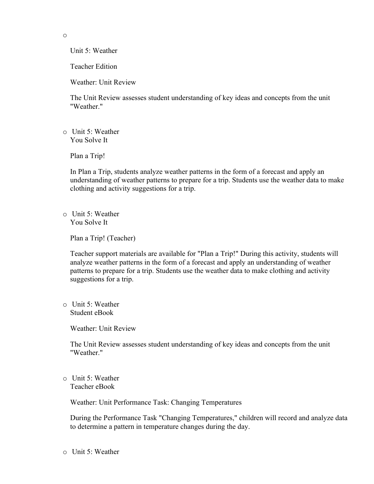o

Unit 5: Weather

Teacher Edition

Weather: Unit Review

The Unit Review assesses student understanding of key ideas and concepts from the unit "Weather."

o Unit 5: Weather You Solve It

Plan a Trip!

In Plan a Trip, students analyze weather patterns in the form of a forecast and apply an understanding of weather patterns to prepare for a trip. Students use the weather data to make clothing and activity suggestions for a trip.

o Unit 5: Weather You Solve It

Plan a Trip! (Teacher)

Teacher support materials are available for "Plan a Trip!" During this activity, students will analyze weather patterns in the form of a forecast and apply an understanding of weather patterns to prepare for a trip. Students use the weather data to make clothing and activity suggestions for a trip.

o Unit 5: Weather Student eBook

Weather: Unit Review

The Unit Review assesses student understanding of key ideas and concepts from the unit "Weather."

o Unit 5: Weather Teacher eBook

Weather: Unit Performance Task: Changing Temperatures

During the Performance Task "Changing Temperatures," children will record and analyze data to determine a pattern in temperature changes during the day.

o Unit 5: Weather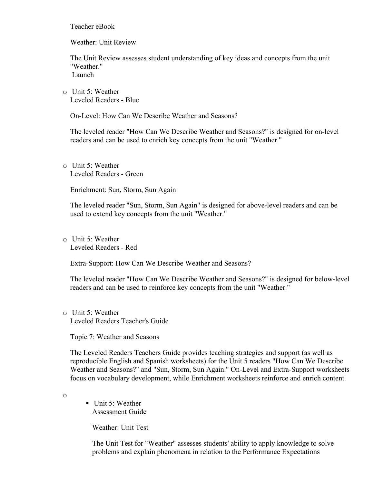Teacher eBook

Weather: Unit Review

The Unit Review assesses student understanding of key ideas and concepts from the unit "Weather." Launch

o Unit 5: Weather Leveled Readers - Blue

On-Level: How Can We Describe Weather and Seasons?

The leveled reader "How Can We Describe Weather and Seasons?" is designed for on-level readers and can be used to enrich key concepts from the unit "Weather."

o Unit 5: Weather Leveled Readers - Green

Enrichment: Sun, Storm, Sun Again

The leveled reader "Sun, Storm, Sun Again" is designed for above-level readers and can be used to extend key concepts from the unit "Weather."

o Unit 5: Weather Leveled Readers - Red

Extra-Support: How Can We Describe Weather and Seasons?

The leveled reader "How Can We Describe Weather and Seasons?" is designed for below-level readers and can be used to reinforce key concepts from the unit "Weather."

o Unit 5: Weather Leveled Readers Teacher's Guide

Topic 7: Weather and Seasons

The Leveled Readers Teachers Guide provides teaching strategies and support (as well as reproducible English and Spanish worksheets) for the Unit 5 readers "How Can We Describe Weather and Seasons?" and "Sun, Storm, Sun Again." On-Level and Extra-Support worksheets focus on vocabulary development, while Enrichment worksheets reinforce and enrich content.

o

 $\blacksquare$  Unit 5: Weather Assessment Guide

Weather: Unit Test

The Unit Test for "Weather" assesses students' ability to apply knowledge to solve problems and explain phenomena in relation to the Performance Expectations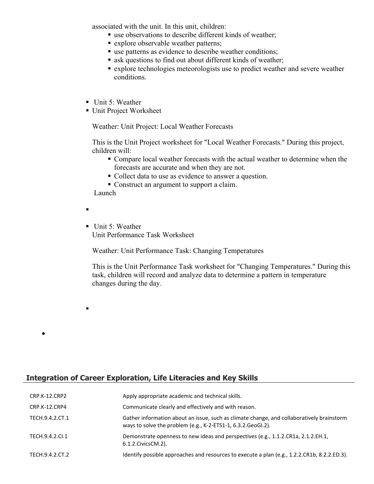associated with the unit. In this unit, children:

- use observations to describe different kinds of weather;
- **Explore observable weather patterns;**
- use patterns as evidence to describe weather conditions;
- ask questions to find out about different kinds of weather;
- explore technologies meteorologists use to predict weather and severe weather conditions.
- Unit 5: Weather
- Unit Project Worksheet

Weather: Unit Project: Local Weather Forecasts

This is the Unit Project worksheet for "Local Weather Forecasts." During this project, children will:

- Compare local weather forecasts with the actual weather to determine when the forecasts are accurate and when they are not.
- Collect data to use as evidence to answer a question.
- Construct an argument to support a claim.

Launch

Ξ

 $\blacksquare$ 

 $\bullet$ 

Unit 5: Weather Unit Performance Task Worksheet

Weather: Unit Performance Task: Changing Temperatures

This is the Unit Performance Task worksheet for "Changing Temperatures." During this task, children will record and analyze data to determine a pattern in temperature changes during the day.

## **Integration of Career Exploration, Life Literacies and Key Skills**

| CRP.K-12.CRP2   | Apply appropriate academic and technical skills.                                                                                                          |
|-----------------|-----------------------------------------------------------------------------------------------------------------------------------------------------------|
| CRP.K-12.CRP4   | Communicate clearly and effectively and with reason.                                                                                                      |
| TECH.9.4.2.CT.1 | Gather information about an issue, such as climate change, and collaboratively brainstorm<br>ways to solve the problem (e.g., K-2-ETS1-1, 6.3.2.GeoGI.2). |
| TECH.9.4.2.CI.1 | Demonstrate openness to new ideas and perspectives (e.g., 1.1.2.CR1a, 2.1.2.EH.1,<br>6.1.2. Civics CM. 2).                                                |
| TECH.9.4.2.CT.2 | Identify possible approaches and resources to execute a plan (e.g., 1.2.2.CR1b, 8.2.2.ED.3).                                                              |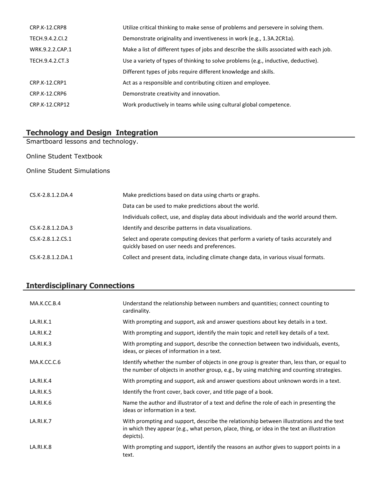| CRP.K-12.CRP8        | Utilize critical thinking to make sense of problems and persevere in solving them.       |
|----------------------|------------------------------------------------------------------------------------------|
| TECH.9.4.2.CI.2      | Demonstrate originality and inventiveness in work (e.g., 1.3A.2CR1a).                    |
| WRK.9.2.2.CAP.1      | Make a list of different types of jobs and describe the skills associated with each job. |
| TECH.9.4.2.CT.3      | Use a variety of types of thinking to solve problems (e.g., inductive, deductive).       |
|                      | Different types of jobs require different knowledge and skills.                          |
| <b>CRP.K-12.CRP1</b> | Act as a responsible and contributing citizen and employee.                              |
| <b>CRP.K-12.CRP6</b> | Demonstrate creativity and innovation.                                                   |
| CRP.K-12.CRP12       | Work productively in teams while using cultural global competence.                       |

## **Technology and Design Integration**

Smartboard lessons and technology.

Online Student Textbook

#### Online Student Simulations

| CS.K-2.8.1.2.DA.4   | Make predictions based on data using charts or graphs.                                                                              |
|---------------------|-------------------------------------------------------------------------------------------------------------------------------------|
|                     | Data can be used to make predictions about the world.                                                                               |
|                     | Individuals collect, use, and display data about individuals and the world around them.                                             |
| CS.K-2.8.1.2.DA.3   | Identify and describe patterns in data visualizations.                                                                              |
| CS.K-2.8.1.2.CS.1   | Select and operate computing devices that perform a variety of tasks accurately and<br>quickly based on user needs and preferences. |
| $CS.K-2.8.1.2.DA.1$ | Collect and present data, including climate change data, in various visual formats.                                                 |

## **Interdisciplinary Connections**

| MA.K.CC.B.4 | Understand the relationship between numbers and quantities; connect counting to<br>cardinality.                                                                                                     |
|-------------|-----------------------------------------------------------------------------------------------------------------------------------------------------------------------------------------------------|
| LA.RI.K.1   | With prompting and support, ask and answer questions about key details in a text.                                                                                                                   |
| LA.RI.K.2   | With prompting and support, identify the main topic and retell key details of a text.                                                                                                               |
| LA.RI.K.3   | With prompting and support, describe the connection between two individuals, events,<br>ideas, or pieces of information in a text.                                                                  |
| MA.K.CC.C.6 | Identify whether the number of objects in one group is greater than, less than, or equal to<br>the number of objects in another group, e.g., by using matching and counting strategies.             |
| LA.RI.K.4   | With prompting and support, ask and answer questions about unknown words in a text.                                                                                                                 |
| LA.RI.K.5   | Identify the front cover, back cover, and title page of a book.                                                                                                                                     |
| LA.RI.K.6   | Name the author and illustrator of a text and define the role of each in presenting the<br>ideas or information in a text.                                                                          |
| LA.RI.K.7   | With prompting and support, describe the relationship between illustrations and the text<br>in which they appear (e.g., what person, place, thing, or idea in the text an illustration<br>depicts). |
| LA.RI.K.8   | With prompting and support, identify the reasons an author gives to support points in a<br>text.                                                                                                    |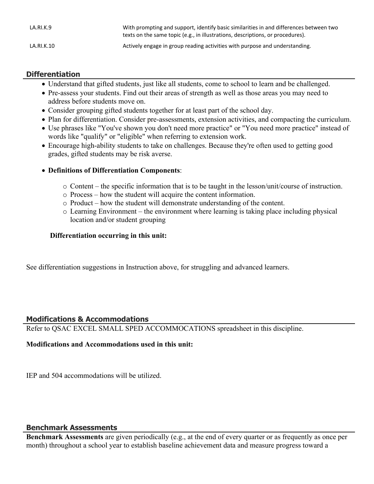| LA.RI.K.9  | With prompting and support, identify basic similarities in and differences between two<br>texts on the same topic (e.g., in illustrations, descriptions, or procedures). |
|------------|--------------------------------------------------------------------------------------------------------------------------------------------------------------------------|
| LA.RI.K.10 | Actively engage in group reading activities with purpose and understanding.                                                                                              |

## **Differentiation**

- Understand that gifted students, just like all students, come to school to learn and be challenged.
- Pre-assess your students. Find out their areas of strength as well as those areas you may need to address before students move on.
- Consider grouping gifted students together for at least part of the school day.
- Plan for differentiation. Consider pre-assessments, extension activities, and compacting the curriculum.
- Use phrases like "You've shown you don't need more practice" or "You need more practice" instead of words like "qualify" or "eligible" when referring to extension work.
- Encourage high-ability students to take on challenges. Because they're often used to getting good grades, gifted students may be risk averse.

## **Definitions of Differentiation Components**:

- o Content the specific information that is to be taught in the lesson/unit/course of instruction.
- o Process how the student will acquire the content information.
- o Product how the student will demonstrate understanding of the content.
- o Learning Environment the environment where learning is taking place including physical location and/or student grouping

## **Differentiation occurring in this unit:**

See differentiation suggestions in Instruction above, for struggling and advanced learners.

## **Modifications & Accommodations**

Refer to QSAC EXCEL SMALL SPED ACCOMMOCATIONS spreadsheet in this discipline.

## **Modifications and Accommodations used in this unit:**

IEP and 504 accommodations will be utilized.

#### **Benchmark Assessments**

**Benchmark Assessments** are given periodically (e.g., at the end of every quarter or as frequently as once per month) throughout a school year to establish baseline achievement data and measure progress toward a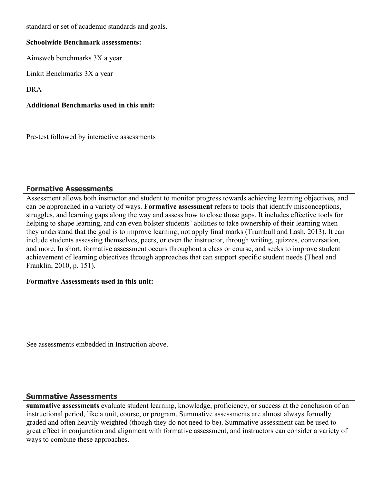standard or set of academic standards and goals.

#### **Schoolwide Benchmark assessments:**

Aimsweb benchmarks 3X a year

Linkit Benchmarks 3X a year

DRA

#### **Additional Benchmarks used in this unit:**

Pre-test followed by interactive assessments

## **Formative Assessments**

Assessment allows both instructor and student to monitor progress towards achieving learning objectives, and can be approached in a variety of ways. **Formative assessment** refers to tools that identify misconceptions, struggles, and learning gaps along the way and assess how to close those gaps. It includes effective tools for helping to shape learning, and can even bolster students' abilities to take ownership of their learning when they understand that the goal is to improve learning, not apply final marks (Trumbull and Lash, 2013). It can include students assessing themselves, peers, or even the instructor, through writing, quizzes, conversation, and more. In short, formative assessment occurs throughout a class or course, and seeks to improve student achievement of learning objectives through approaches that can support specific student needs (Theal and Franklin, 2010, p. 151).

#### **Formative Assessments used in this unit:**

See assessments embedded in Instruction above.

#### **Summative Assessments**

**summative assessments** evaluate student learning, knowledge, proficiency, or success at the conclusion of an instructional period, like a unit, course, or program. Summative assessments are almost always formally graded and often heavily weighted (though they do not need to be). Summative assessment can be used to great effect in conjunction and alignment with formative assessment, and instructors can consider a variety of ways to combine these approaches.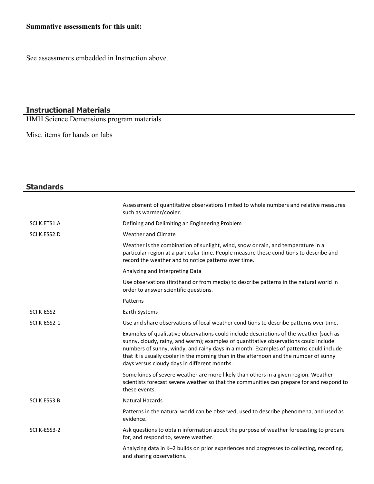## **Summative assessments for this unit:**

See assessments embedded in Instruction above.

#### **Instructional Materials**

HMH Science Demensions program materials

Misc. items for hands on labs

| <b>Standards</b> |                                                                                                                                                                                                                                                                                                                                                                                                                     |
|------------------|---------------------------------------------------------------------------------------------------------------------------------------------------------------------------------------------------------------------------------------------------------------------------------------------------------------------------------------------------------------------------------------------------------------------|
|                  | Assessment of quantitative observations limited to whole numbers and relative measures<br>such as warmer/cooler.                                                                                                                                                                                                                                                                                                    |
| SCI.K.ETS1.A     | Defining and Delimiting an Engineering Problem                                                                                                                                                                                                                                                                                                                                                                      |
| SCI.K.ESS2.D     | <b>Weather and Climate</b>                                                                                                                                                                                                                                                                                                                                                                                          |
|                  | Weather is the combination of sunlight, wind, snow or rain, and temperature in a<br>particular region at a particular time. People measure these conditions to describe and<br>record the weather and to notice patterns over time.                                                                                                                                                                                 |
|                  | Analyzing and Interpreting Data                                                                                                                                                                                                                                                                                                                                                                                     |
|                  | Use observations (firsthand or from media) to describe patterns in the natural world in<br>order to answer scientific questions.                                                                                                                                                                                                                                                                                    |
|                  | Patterns                                                                                                                                                                                                                                                                                                                                                                                                            |
| SCI.K-ESS2       | Earth Systems                                                                                                                                                                                                                                                                                                                                                                                                       |
| SCI.K-ESS2-1     | Use and share observations of local weather conditions to describe patterns over time.                                                                                                                                                                                                                                                                                                                              |
|                  | Examples of qualitative observations could include descriptions of the weather (such as<br>sunny, cloudy, rainy, and warm); examples of quantitative observations could include<br>numbers of sunny, windy, and rainy days in a month. Examples of patterns could include<br>that it is usually cooler in the morning than in the afternoon and the number of sunny<br>days versus cloudy days in different months. |
|                  | Some kinds of severe weather are more likely than others in a given region. Weather<br>scientists forecast severe weather so that the communities can prepare for and respond to<br>these events.                                                                                                                                                                                                                   |
| SCI.K.ESS3.B     | <b>Natural Hazards</b>                                                                                                                                                                                                                                                                                                                                                                                              |
|                  | Patterns in the natural world can be observed, used to describe phenomena, and used as<br>evidence.                                                                                                                                                                                                                                                                                                                 |
| SCI.K-ESS3-2     | Ask questions to obtain information about the purpose of weather forecasting to prepare<br>for, and respond to, severe weather.                                                                                                                                                                                                                                                                                     |
|                  | Analyzing data in K-2 builds on prior experiences and progresses to collecting, recording,<br>and sharing observations.                                                                                                                                                                                                                                                                                             |